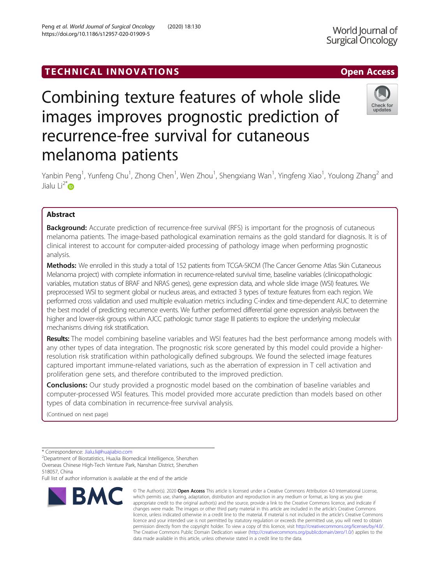# TECHNICAL INNOVATIONS AND RESERVE TO A CONSIDER A CONSIDER A CONSIDERATION OF A CONSIDERATION OF A CONSIDERATION OF THE OPEN ACCESS

# Combining texture features of whole slide images improves prognostic prediction of recurrence-free survival for cutaneous melanoma patients

Yanbin Peng<sup>1</sup>, Yunfeng Chu<sup>1</sup>, Zhong Chen<sup>1</sup>, Wen Zhou<sup>1</sup>, Shengxiang Wan<sup>1</sup>, Yingfeng Xiao<sup>1</sup>, Youlong Zhang<sup>2</sup> and Jialu Li $^{2*}$ D

# Abstract

**Background:** Accurate prediction of recurrence-free survival (RFS) is important for the prognosis of cutaneous melanoma patients. The image-based pathological examination remains as the gold standard for diagnosis. It is of clinical interest to account for computer-aided processing of pathology image when performing prognostic analysis.

Methods: We enrolled in this study a total of 152 patients from TCGA-SKCM (The Cancer Genome Atlas Skin Cutaneous Melanoma project) with complete information in recurrence-related survival time, baseline variables (clinicopathologic variables, mutation status of BRAF and NRAS genes), gene expression data, and whole slide image (WSI) features. We preprocessed WSI to segment global or nucleus areas, and extracted 3 types of texture features from each region. We performed cross validation and used multiple evaluation metrics including C-index and time-dependent AUC to determine the best model of predicting recurrence events. We further performed differential gene expression analysis between the higher and lower-risk groups within AJCC pathologic tumor stage III patients to explore the underlying molecular mechanisms driving risk stratification.

Results: The model combining baseline variables and WSI features had the best performance among models with any other types of data integration. The prognostic risk score generated by this model could provide a higherresolution risk stratification within pathologically defined subgroups. We found the selected image features captured important immune-related variations, such as the aberration of expression in T cell activation and proliferation gene sets, and therefore contributed to the improved prediction.

**Conclusions:** Our study provided a prognostic model based on the combination of baseline variables and computer-processed WSI features. This model provided more accurate prediction than models based on other types of data combination in recurrence-free survival analysis.

(Continued on next page)

Full list of author information is available at the end of the article

# © The Author(s), 2020 **Open Access** This article is licensed under a Creative Commons Attribution 4.0 International License, **BMC** which permits use, sharing, adaptation, distribution and reproduction in any medium or format, as long as you give appropriate credit to the original author(s) and the source, provide a link to the Creative Commons licence, and indicate if changes were made. The images or other third party material in this article are included in the article's Creative Commons licence, unless indicated otherwise in a credit line to the material. If material is not included in the article's Creative Commons

data made available in this article, unless otherwise stated in a credit line to the data.

licence and your intended use is not permitted by statutory regulation or exceeds the permitted use, you will need to obtain permission directly from the copyright holder. To view a copy of this licence, visit [http://creativecommons.org/licenses/by/4.0/.](http://creativecommons.org/licenses/by/4.0/) The Creative Commons Public Domain Dedication waiver [\(http://creativecommons.org/publicdomain/zero/1.0/](http://creativecommons.org/publicdomain/zero/1.0/)) applies to the





<sup>\*</sup> Correspondence: [Jialu.li@huajiabio.com](mailto:Jialu.li@huajiabio.com)<br><sup>2</sup>Department of Biostatistics, HuaJia Biomedical Intelligence, Shenzhen Overseas Chinese High-Tech Venture Park, Nanshan District, Shenzhen 518057, China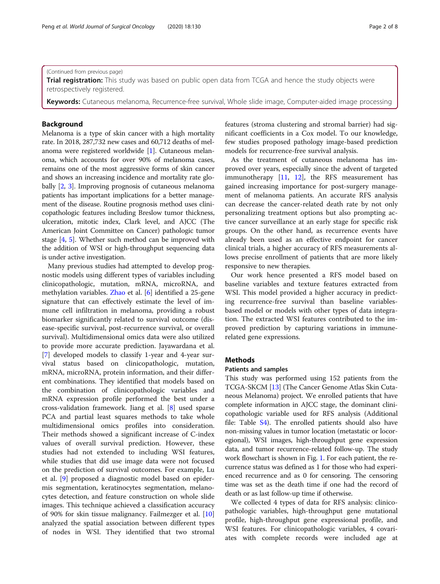#### (Continued from previous page)

**Trial registration:** This study was based on public open data from TCGA and hence the study objects were retrospectively registered.

Keywords: Cutaneous melanoma, Recurrence-free survival, Whole slide image, Computer-aided image processing

# Background

Melanoma is a type of skin cancer with a high mortality rate. In 2018, 287,732 new cases and 60,712 deaths of melanoma were registered worldwide [\[1\]](#page-7-0). Cutaneous melanoma, which accounts for over 90% of melanoma cases, remains one of the most aggressive forms of skin cancer and shows an increasing incidence and mortality rate globally [[2,](#page-7-0) [3](#page-7-0)]. Improving prognosis of cutaneous melanoma patients has important implications for a better management of the disease. Routine prognosis method uses clinicopathologic features including Breslow tumor thickness, ulceration, mitotic index, Clark level, and AJCC (The American Joint Committee on Cancer) pathologic tumor stage [\[4,](#page-7-0) [5](#page-7-0)]. Whether such method can be improved with the addition of WSI or high-throughput sequencing data is under active investigation.

Many previous studies had attempted to develop prognostic models using different types of variables including clinicopathologic, mutation, mRNA, microRNA, and methylation variables. [Zhao](https://www.ncbi.nlm.nih.gov/pubmed/?term=Zhao%20Y%5BAuthor%5D&cauthor=true&cauthor_uid=30171176) et al. [[6](#page-7-0)] identified a 25-gene signature that can effectively estimate the level of immune cell infiltration in melanoma, providing a robust biomarker significantly related to survival outcome (disease-specific survival, post-recurrence survival, or overall survival). Multidimensional omics data were also utilized to provide more accurate prediction. Jayawardana et al. [[7\]](#page-7-0) developed models to classify 1-year and 4-year survival status based on clinicopathologic, mutation, mRNA, microRNA, protein information, and their different combinations. They identified that models based on the combination of clinicopathologic variables and mRNA expression profile performed the best under a cross-validation framework. Jiang et al. [[8](#page-7-0)] used sparse PCA and partial least squares methods to take whole multidimensional omics profiles into consideration. Their methods showed a significant increase of C-index values of overall survival prediction. However, these studies had not extended to including WSI features, while studies that did use image data were not focused on the prediction of survival outcomes. For example, Lu et al. [\[9](#page-7-0)] proposed a diagnostic model based on epidermis segmentation, keratinocytes segmentation, melanocytes detection, and feature construction on whole slide images. This technique achieved a classification accuracy of 90% for skin tissue malignancy. Failmezger et al. [[10](#page-7-0)] analyzed the spatial association between different types of nodes in WSI. They identified that two stromal features (stroma clustering and stromal barrier) had significant coefficients in a Cox model. To our knowledge, few studies proposed pathology image-based prediction models for recurrence-free survival analysis.

As the treatment of cutaneous melanoma has improved over years, especially since the advent of targeted immunotherapy [[11,](#page-7-0) [12](#page-7-0)], the RFS measurement has gained increasing importance for post-surgery management of melanoma patients. An accurate RFS analysis can decrease the cancer-related death rate by not only personalizing treatment options but also prompting active cancer surveillance at an early stage for specific risk groups. On the other hand, as recurrence events have already been used as an effective endpoint for cancer clinical trials, a higher accuracy of RFS measurements allows precise enrollment of patients that are more likely responsive to new therapies.

Our work hence presented a RFS model based on baseline variables and texture features extracted from WSI. This model provided a higher accuracy in predicting recurrence-free survival than baseline variablesbased model or models with other types of data integration. The extracted WSI features contributed to the improved prediction by capturing variations in immunerelated gene expressions.

# **Methods**

#### Patients and samples

This study was performed using 152 patients from the TCGA-SKCM [[13\]](#page-7-0) (The Cancer Genome Atlas Skin Cutaneous Melanoma) project. We enrolled patients that have complete information in AJCC stage, the dominant clinicopathologic variable used for RFS analysis (Additional file: Table [S4\)](#page-6-0). The enrolled patients should also have non-missing values in tumor location (metastatic or locoregional), WSI images, high-throughput gene expression data, and tumor recurrence-related follow-up. The study work flowchart is shown in Fig. [1](#page-2-0). For each patient, the recurrence status was defined as 1 for those who had experienced recurrence and as 0 for censoring. The censoring time was set as the death time if one had the record of death or as last follow-up time if otherwise.

We collected 4 types of data for RFS analysis: clinicopathologic variables, high-throughput gene mutational profile, high-throughput gene expressional profile, and WSI features. For clinicopathologic variables, 4 covariates with complete records were included age at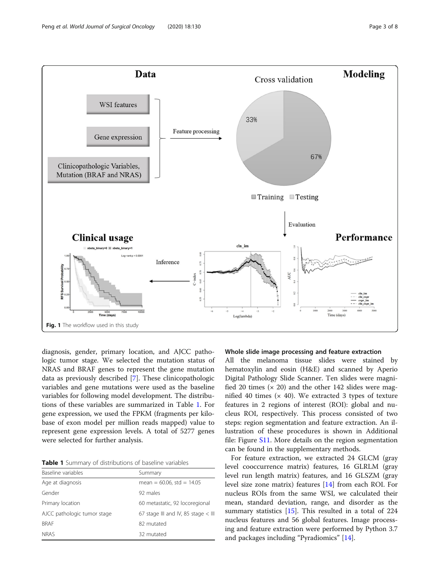<span id="page-2-0"></span>

diagnosis, gender, primary location, and AJCC pathologic tumor stage. We selected the mutation status of NRAS and BRAF genes to represent the gene mutation data as previously described [\[7](#page-7-0)]. These clinicopathologic variables and gene mutations were used as the baseline variables for following model development. The distributions of these variables are summarized in Table 1. For gene expression, we used the FPKM (fragments per kilobase of exon model per million reads mapped) value to represent gene expression levels. A total of 5277 genes were selected for further analysis.

Table 1 Summary of distributions of baseline variables

| Baseline variables          | Summary                               |
|-----------------------------|---------------------------------------|
| Age at diagnosis            | mean = $60.06$ , std = $14.05$        |
| Gender                      | 92 males                              |
| Primary location            | 60 metastatic, 92 locoregional        |
| AJCC pathologic tumor stage | 67 stage III and IV, 85 stage $<$ III |
| <b>BRAF</b>                 | 82 mutated                            |
| <b>NRAS</b>                 | 32 mutated                            |

# Whole slide image processing and feature extraction

All the melanoma tissue slides were stained by hematoxylin and eosin (H&E) and scanned by Aperio Digital Pathology Slide Scanner. Ten slides were magnified 20 times  $(x 20)$  and the other 142 slides were magnified 40 times  $(x 40)$ . We extracted 3 types of texture features in 2 regions of interest (ROI): global and nucleus ROI, respectively. This process consisted of two steps: region segmentation and feature extraction. An illustration of these procedures is shown in Additional file: Figure [S11.](#page-6-0) More details on the region segmentation can be found in the supplementary methods.

For feature extraction, we extracted 24 GLCM (gray level cooccurrence matrix) features, 16 GLRLM (gray level run length matrix) features, and 16 GLSZM (gray level size zone matrix) features [\[14\]](#page-7-0) from each ROI. For nucleus ROIs from the same WSI, we calculated their mean, standard deviation, range, and disorder as the summary statistics  $[15]$  $[15]$ . This resulted in a total of 224 nucleus features and 56 global features. Image processing and feature extraction were performed by Python 3.7 and packages including "Pyradiomics" [[14\]](#page-7-0).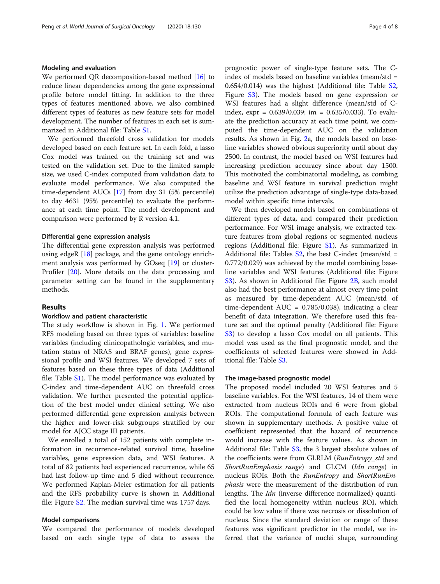## Modeling and evaluation

We performed QR decomposition-based method [[16\]](#page-7-0) to reduce linear dependencies among the gene expressional profile before model fitting. In addition to the three types of features mentioned above, we also combined different types of features as new feature sets for model development. The number of features in each set is summarized in Additional file: Table [S1.](#page-6-0)

We performed threefold cross validation for models developed based on each feature set. In each fold, a lasso Cox model was trained on the training set and was tested on the validation set. Due to the limited sample size, we used C-index computed from validation data to evaluate model performance. We also computed the time-dependent AUCs [[17\]](#page-7-0) from day 31 (5% percentile) to day 4631 (95% percentile) to evaluate the performance at each time point. The model development and comparison were performed by R version 4.1.

## Differential gene expression analysis

The differential gene expression analysis was performed using edgeR  $[18]$  $[18]$  $[18]$  package, and the gene ontology enrichment analysis was performed by GOseq [\[19](#page-7-0)] or cluster-Profiler [[20\]](#page-7-0). More details on the data processing and parameter setting can be found in the supplementary methods.

# **Results**

# Workflow and patient characteristic

The study workflow is shown in Fig. [1.](#page-2-0) We performed RFS modeling based on three types of variables: baseline variables (including clinicopathologic variables, and mutation status of NRAS and BRAF genes), gene expressional profile and WSI features. We developed 7 sets of features based on these three types of data (Additional file: Table [S1](#page-6-0)). The model performance was evaluated by C-index and time-dependent AUC on threefold cross validation. We further presented the potential application of the best model under clinical setting. We also performed differential gene expression analysis between the higher and lower-risk subgroups stratified by our model for AJCC stage III patients.

We enrolled a total of 152 patients with complete information in recurrence-related survival time, baseline variables, gene expression data, and WSI features. A total of 82 patients had experienced recurrence, while 65 had last follow-up time and 5 died without recurrence. We performed Kaplan-Meier estimation for all patients and the RFS probability curve is shown in Additional file: Figure [S2.](#page-6-0) The median survival time was 1757 days.

# Model comparisons

We compared the performance of models developed based on each single type of data to assess the prognostic power of single-type feature sets. The Cindex of models based on baseline variables (mean/std = 0.654/0.014) was the highest (Additional file: Table [S2](#page-6-0), Figure [S3\)](#page-6-0). The models based on gene expression or WSI features had a slight difference (mean/std of Cindex,  $expr = 0.639/0.039$ ; im = 0.635/0.033). To evaluate the prediction accuracy at each time point, we computed the time-dependent AUC on the validation results. As shown in Fig. [2a](#page-4-0), the models based on baseline variables showed obvious superiority until about day 2500. In contrast, the model based on WSI features had increasing prediction accuracy since about day 1500. This motivated the combinatorial modeling, as combing baseline and WSI feature in survival prediction might utilize the prediction advantage of single-type data-based model within specific time intervals.

We then developed models based on combinations of different types of data, and compared their prediction performance. For WSI image analysis, we extracted texture features from global regions or segmented nucleus regions (Additional file: Figure [S1](#page-6-0)). As summarized in Additional file: Tables  $S2$ , the best C-index (mean/std = 0.772/0.029) was achieved by the model combining baseline variables and WSI features (Additional file: Figure [S3\)](#page-6-0). As shown in Additional file: Figure [2B,](#page-6-0) such model also had the best performance at almost every time point as measured by time-dependent AUC (mean/std of time-dependent  $AUC = 0.785/0.038$ , indicating a clear benefit of data integration. We therefore used this feature set and the optimal penalty (Additional file: Figure [S3\)](#page-6-0) to develop a lasso Cox model on all patients. This model was used as the final prognostic model, and the coefficients of selected features were showed in Additional file: Table [S3.](#page-6-0)

# The image-based prognostic model

The proposed model included 20 WSI features and 5 baseline variables. For the WSI features, 14 of them were extracted from nucleus ROIs and 6 were from global ROIs. The computational formula of each feature was shown in supplementary methods. A positive value of coefficient represented that the hazard of recurrence would increase with the feature values. As shown in Additional file: Table [S3](#page-6-0), the 3 largest absolute values of the coefficients were from GLRLM (RunEntropy\_std and ShortRunEmphasis\_range) and GLCM (Idn\_range) in nucleus ROIs. Both the *RunEntropy* and *ShortRunEm*phasis were the measurement of the distribution of run lengths. The *Idn* (inverse difference normalized) quantified the local homogeneity within nucleus ROI, which could be low value if there was necrosis or dissolution of nucleus. Since the standard deviation or range of these features was significant predictor in the model, we inferred that the variance of nuclei shape, surrounding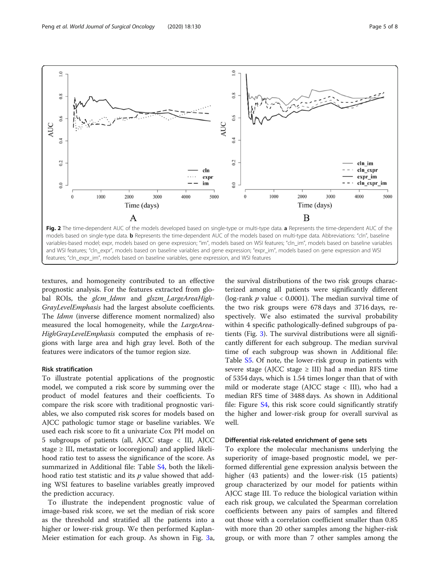<span id="page-4-0"></span>

textures, and homogeneity contributed to an effective prognostic analysis. For the features extracted from global ROIs, the glcm\_Idmn and glszm\_LargeAreaHigh-GrayLevelEmphasis had the largest absolute coefficients. The *Idmn* (inverse difference moment normalized) also measured the local homogeneity, while the LargeArea-HighGrayLevelEmphasis computed the emphasis of regions with large area and high gray level. Both of the features were indicators of the tumor region size.

# Risk stratification

To illustrate potential applications of the prognostic model, we computed a risk score by summing over the product of model features and their coefficients. To compare the risk score with traditional prognostic variables, we also computed risk scores for models based on AJCC pathologic tumor stage or baseline variables. We used each risk score to fit a univariate Cox PH model on 5 subgroups of patients (all, AJCC stage < III, AJCC stage  $\geq$  III, metastatic or locoregional) and applied likelihood ratio test to assess the significance of the score. As summarized in Additional file: Table [S4](#page-6-0), both the likelihood ratio test statistic and its  $p$  value showed that adding WSI features to baseline variables greatly improved the prediction accuracy.

To illustrate the independent prognostic value of image-based risk score, we set the median of risk score as the threshold and stratified all the patients into a higher or lower-risk group. We then performed Kaplan-Meier estimation for each group. As shown in Fig. [3](#page-5-0)a,

the survival distributions of the two risk groups characterized among all patients were significantly different (log-rank  $p$  value < 0.0001). The median survival time of the two risk groups were 678 days and 3716 days, respectively. We also estimated the survival probability within 4 specific pathologically-defined subgroups of patients (Fig. [3\)](#page-5-0). The survival distributions were all significantly different for each subgroup. The median survival time of each subgroup was shown in Additional file: Table [S5](#page-6-0). Of note, the lower-risk group in patients with severe stage (AJCC stage  $\geq$  III) had a median RFS time of 5354 days, which is 1.54 times longer than that of with mild or moderate stage (AJCC stage < III), who had a median RFS time of 3488 days. As shown in Additional file: Figure [S4,](#page-6-0) this risk score could significantly stratify the higher and lower-risk group for overall survival as well.

# Differential risk-related enrichment of gene sets

To explore the molecular mechanisms underlying the superiority of image-based prognostic model, we performed differential gene expression analysis between the higher (43 patients) and the lower-risk (15 patients) group characterized by our model for patients within AJCC stage III. To reduce the biological variation within each risk group, we calculated the Spearman correlation coefficients between any pairs of samples and filtered out those with a correlation coefficient smaller than 0.85 with more than 20 other samples among the higher-risk group, or with more than 7 other samples among the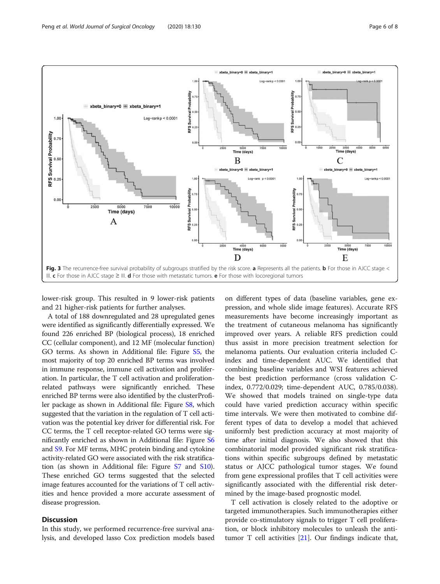

<span id="page-5-0"></span>

lower-risk group. This resulted in 9 lower-risk patients and 21 higher-risk patients for further analyses.

A total of 188 downregulated and 28 upregulated genes were identified as significantly differentially expressed. We found 226 enriched BP (biological process), 18 enriched CC (cellular component), and 12 MF (molecular function) GO terms. As shown in Additional file: Figure [S5,](#page-6-0) the most majority of top 20 enriched BP terms was involved in immune response, immune cell activation and proliferation. In particular, the T cell activation and proliferationrelated pathways were significantly enriched. These enriched BP terms were also identified by the clusterProfiler package as shown in Additional file: Figure [S8,](#page-6-0) which suggested that the variation in the regulation of T cell activation was the potential key driver for differential risk. For CC terms, the T cell receptor-related GO terms were significantly enriched as shown in Additional file: Figure [S6](#page-6-0) and [S9.](#page-6-0) For MF terms, MHC protein binding and cytokine activity-related GO were associated with the risk stratification (as shown in Additional file: Figure [S7](#page-6-0) and [S10](#page-6-0)). These enriched GO terms suggested that the selected image features accounted for the variations of T cell activities and hence provided a more accurate assessment of disease progression.

# **Discussion**

In this study, we performed recurrence-free survival analysis, and developed lasso Cox prediction models based

on different types of data (baseline variables, gene expression, and whole slide image features). Accurate RFS measurements have become increasingly important as the treatment of cutaneous melanoma has significantly improved over years. A reliable RFS prediction could thus assist in more precision treatment selection for melanoma patients. Our evaluation criteria included Cindex and time-dependent AUC. We identified that combining baseline variables and WSI features achieved the best prediction performance (cross validation Cindex, 0.772/0.029; time-dependent AUC, 0.785/0.038). We showed that models trained on single-type data could have varied prediction accuracy within specific time intervals. We were then motivated to combine different types of data to develop a model that achieved uniformly best prediction accuracy at most majority of time after initial diagnosis. We also showed that this combinatorial model provided significant risk stratifications within specific subgroups defined by metastatic status or AJCC pathological tumor stages. We found from gene expressional profiles that T cell activities were significantly associated with the differential risk determined by the image-based prognostic model.

T cell activation is closely related to the adoptive or targeted immunotherapies. Such immunotherapies either provide co-stimulatory signals to trigger T cell proliferation, or block inhibitory molecules to unleash the antitumor T cell activities [[21](#page-7-0)]. Our findings indicate that,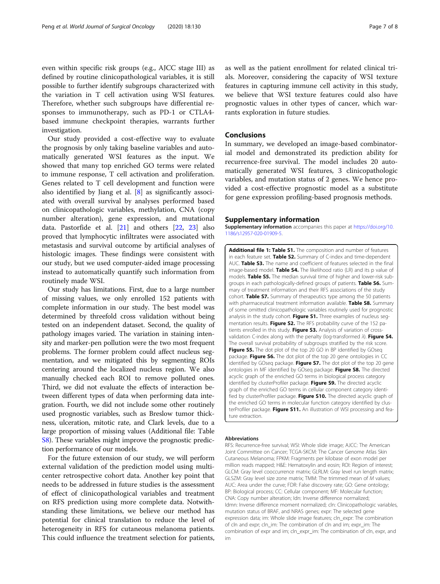<span id="page-6-0"></span>even within specific risk groups (e.g., AJCC stage III) as defined by routine clinicopathological variables, it is still possible to further identify subgroups characterized with the variation in T cell activation using WSI features. Therefore, whether such subgroups have differential responses to immunotherapy, such as PD-1 or CTLA4 based immune checkpoint therapies, warrants further investigation.

Our study provided a cost-effective way to evaluate the prognosis by only taking baseline variables and automatically generated WSI features as the input. We showed that many top enriched GO terms were related to immune response, T cell activation and proliferation. Genes related to T cell development and function were also identified by Jiang et al. [\[8](#page-7-0)] as significantly associated with overall survival by analyses performed based on clinicopathologic variables, methylation, CNA (copy number alteration), gene expression, and mutational data. Pastorfide et al. [[21](#page-7-0)] and others [\[22](#page-7-0), [23](#page-7-0)] also proved that lymphocytic infiltrates were associated with metastasis and survival outcome by artificial analyses of histologic images. These findings were consistent with our study, but we used computer-aided image processing instead to automatically quantify such information from routinely made WSI.

Our study has limitations. First, due to a large number of missing values, we only enrolled 152 patients with complete information in our study. The best model was determined by threefold cross validation without being tested on an independent dataset. Second, the quality of pathology images varied. The variation in staining intensity and marker-pen pollution were the two most frequent problems. The former problem could affect nucleus segmentation, and we mitigated this by segmenting ROIs centering around the localized nucleus region. We also manually checked each ROI to remove polluted ones. Third, we did not evaluate the effects of interaction between different types of data when performing data integration. Fourth, we did not include some other routinely used prognostic variables, such as Breslow tumor thickness, ulceration, mitotic rate, and Clark levels, due to a large proportion of missing values (Additional file: Table S8). These variables might improve the prognostic prediction performance of our models.

For the future extension of our study, we will perform external validation of the prediction model using multicenter retrospective cohort data. Another key point that needs to be addressed in future studies is the assessment of effect of clinicopathological variables and treatment on RFS prediction using more complete data. Notwithstanding these limitations, we believe our method has potential for clinical translation to reduce the level of heterogeneity in RFS for cutaneous melanoma patients. This could influence the treatment selection for patients,

as well as the patient enrollment for related clinical trials. Moreover, considering the capacity of WSI texture features in capturing immune cell activity in this study, we believe that WSI texture features could also have prognostic values in other types of cancer, which warrants exploration in future studies.

# Conclusions

In summary, we developed an image-based combinatorial model and demonstrated its prediction ability for recurrence-free survival. The model includes 20 automatically generated WSI features, 3 clinicopathologic variables, and mutation status of 2 genes. We hence provided a cost-effective prognostic model as a substitute for gene expression profiling-based prognosis methods.

### Supplementary information

Supplementary information accompanies this paper at [https://doi.org/10.](https://doi.org/10.1186/s12957-020-01909-5) [1186/s12957-020-01909-5](https://doi.org/10.1186/s12957-020-01909-5).

Additional file 1: Table S1. The composition and number of features in each feature set. Table S2. Summary of C-index and time-dependent AUC. Table S3. The name and coefficient of features selected in the final image-based model. Table S4. The likelihood ratio (LR) and its p value of models. Table S5. The median survival time of higher and lower-risk subgroups in each pathologically-defined groups of patients. Table S6. Summary of treatment information and their RFS associations of the study cohort. Table S7. Summary of therapeutics type among the 50 patients with pharmaceutical treatment information available. Table S8. Summary of some omitted clinicopathologic variables routinely used for prognostic analysis in the study cohort. Figure S1. Three examples of nucleus segmentation results. Figure S2. The RFS probability curve of the 152 patients enrolled in this study. Figure S3. Analysis of variation of crossvalidation C-index along with the penalty (log-transformed  $\lambda$ ). Figure S4. The overall survival probability of subgroups stratified by the risk score. Figure S5. The dot plot of the top 20 GO in BP identified by GOseq package. Figure S6. The dot plot of the top 20 gene ontologies in CC identified by GOseq package. Figure S7. The dot plot of the top 20 gene ontologies in MF identified by GOseq package. Figure S8. The directed acyclic graph of the enriched GO terms in biological process category identified by clusterProfiler package. Figure S9. The directed acyclic graph of the enriched GO terms in cellular component category identified by clusterProfiler package. Figure S10. The directed acyclic graph of the enriched GO terms in molecular function category identified by clusterProfiler package. Figure S11. An illustration of WSI processing and feature extraction.

#### Abbreviations

RFS: Recurrence-free survival; WSI: Whole slide image; AJCC: The American Joint Committee on Cancer; TCGA-SKCM: The Cancer Genome Atlas Skin Cutaneous Melanoma; FPKM: Fragments per kilobase of exon model per million reads mapped; H&E: Hematoxylin and eosin; ROI: Region of interest; GLCM: Gray level cooccurrence matrix; GLRLM: Gray level run length matrix; GLSZM: Gray level size zone matrix; TMM: The trimmed mean of M values; AUC: Area under the curve; FDR: False discovery rate; GO: Gene ontology; BP: Biological process; CC: Cellular component; MF: Molecular function; CNA: Copy number alteration; Idn: Inverse difference normalized; Idmn: Inverse difference moment normalized; cln: Clinicopathologic variables, mutation status of BRAF, and NRAS genes; expr: The selected gene expression data; im: Whole slide image features; cln\_expr: The combination of cln and expr; cln\_im: The combination of cln and im; expr\_im: The combination of expr and im; cln\_expr\_im: The combination of cln, expr, and im